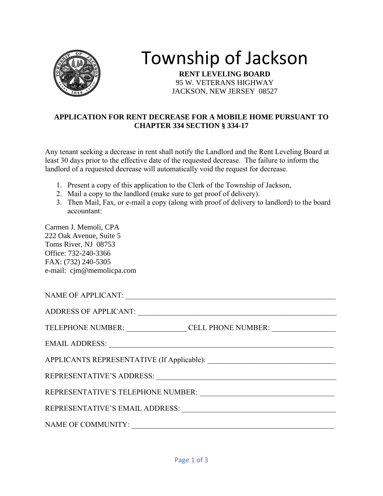

## Township of Jackson

**RENT LEVELING BOARD** 95 W. VETERANS HIGHWAY JACKSON, NEW JERSEY 08527

## **APPLICATION FOR RENT DECREASE FOR A MOBILE HOME PURSUANT TO CHAPTER 334 SECTION § 334-17**

Any tenant seeking a decrease in rent shall notify the Landlord and the Rent Leveling Board at least 30 days prior to the effective date of the requested decrease. The failure to inform the landlord of a requested decrease will automatically void the request for decrease.

- 1. Present a copy of this application to the Clerk of the Township of Jackson,
- 2. Mail a copy to the landlord (make sure to get proof of delivery).
- 3. Then Mail, Fax, or e-mail a copy (along with proof of delivery to landlord) to the board accountant:

Carmen J. Memoli, CPA 222 Oak Avenue, Suite 5 Toms River, NJ 08753 Office: 732-240-3366 FAX: (732) 240-5305 e-mail: cjm@memolicpa.com

| TELEPHONE NUMBER: CELL PHONE NUMBER:                                                                                                                                                                                           |  |  |
|--------------------------------------------------------------------------------------------------------------------------------------------------------------------------------------------------------------------------------|--|--|
| EMAIL ADDRESS: Universe of the Contract of the Contract of the Contract of the Contract of the Contract of the Contract of the Contract of the Contract of the Contract of the Contract of the Contract of the Contract of the |  |  |
|                                                                                                                                                                                                                                |  |  |
|                                                                                                                                                                                                                                |  |  |
|                                                                                                                                                                                                                                |  |  |
|                                                                                                                                                                                                                                |  |  |
| <b>NAME OF COMMUNITY:</b>                                                                                                                                                                                                      |  |  |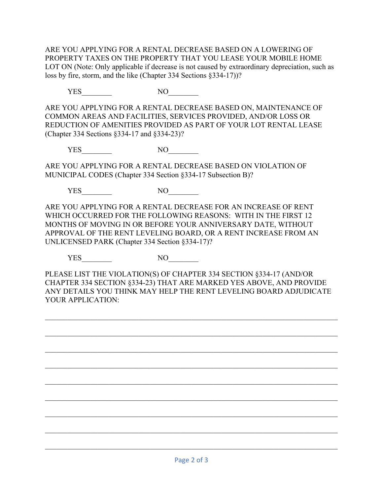ARE YOU APPLYING FOR A RENTAL DECREASE BASED ON A LOWERING OF PROPERTY TAXES ON THE PROPERTY THAT YOU LEASE YOUR MOBILE HOME LOT ON (Note: Only applicable if decrease is not caused by extraordinary depreciation, such as loss by fire, storm, and the like (Chapter 334 Sections §334-17))?

YES\_\_\_\_\_\_\_\_ NO\_\_\_\_\_\_\_\_

ARE YOU APPLYING FOR A RENTAL DECREASE BASED ON, MAINTENANCE OF COMMON AREAS AND FACILITIES, SERVICES PROVIDED, AND/OR LOSS OR REDUCTION OF AMENITIES PROVIDED AS PART OF YOUR LOT RENTAL LEASE (Chapter 334 Sections §334-17 and §334-23)?

YES NO

ARE YOU APPLYING FOR A RENTAL DECREASE BASED ON VIOLATION OF MUNICIPAL CODES (Chapter 334 Section §334-17 Subsection B)?

YES NO

ARE YOU APPLYING FOR A RENTAL DECREASE FOR AN INCREASE OF RENT WHICH OCCURRED FOR THE FOLLOWING REASONS: WITH IN THE FIRST 12 MONTHS OF MOVING IN OR BEFORE YOUR ANNIVERSARY DATE, WITHOUT APPROVAL OF THE RENT LEVELING BOARD, OR A RENT INCREASE FROM AN UNLICENSED PARK (Chapter 334 Section §334-17)?

YES<sup>NO</sup>

PLEASE LIST THE VIOLATION(S) OF CHAPTER 334 SECTION §334-17 (AND/OR CHAPTER 334 SECTION §334-23) THAT ARE MARKED YES ABOVE, AND PROVIDE ANY DETAILS YOU THINK MAY HELP THE RENT LEVELING BOARD ADJUDICATE YOUR APPLICATION:

 $\mathcal{L}_\mathcal{L} = \mathcal{L}_\mathcal{L} = \mathcal{L}_\mathcal{L} = \mathcal{L}_\mathcal{L} = \mathcal{L}_\mathcal{L} = \mathcal{L}_\mathcal{L} = \mathcal{L}_\mathcal{L} = \mathcal{L}_\mathcal{L} = \mathcal{L}_\mathcal{L} = \mathcal{L}_\mathcal{L} = \mathcal{L}_\mathcal{L} = \mathcal{L}_\mathcal{L} = \mathcal{L}_\mathcal{L} = \mathcal{L}_\mathcal{L} = \mathcal{L}_\mathcal{L} = \mathcal{L}_\mathcal{L} = \mathcal{L}_\mathcal{L}$